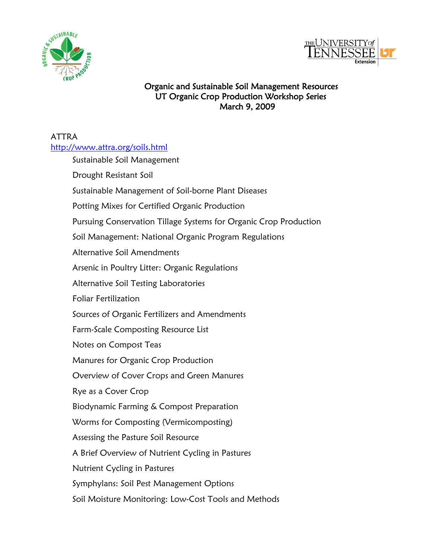



## Organic and Sustainable Soil Management Resources UT Organic Crop Production Workshop Series March 9, 2009

## ATTRA <http://www.attra.org/soils.html>

| Sustainable Soil Management                                       |
|-------------------------------------------------------------------|
| Drought Resistant Soil                                            |
| Sustainable Management of Soil-borne Plant Diseases               |
| Potting Mixes for Certified Organic Production                    |
| Pursuing Conservation Tillage Systems for Organic Crop Production |
| Soil Management: National Organic Program Regulations             |
| Alternative Soil Amendments                                       |
| Arsenic in Poultry Litter: Organic Regulations                    |
| Alternative Soil Testing Laboratories                             |
| <b>Foliar Fertilization</b>                                       |
| Sources of Organic Fertilizers and Amendments                     |
| Farm-Scale Composting Resource List                               |
| Notes on Compost Teas                                             |
| Manures for Organic Crop Production                               |
| Overview of Cover Crops and Green Manures                         |
| Rye as a Cover Crop                                               |
| Biodynamic Farming & Compost Preparation                          |
| Worms for Composting (Vermicomposting)                            |
| Assessing the Pasture Soil Resource                               |
| A Brief Overview of Nutrient Cycling in Pastures                  |
| Nutrient Cycling in Pastures                                      |
| Symphylans: Soil Pest Management Options                          |
| Soil Moisture Monitoring: Low-Cost Tools and Methods              |